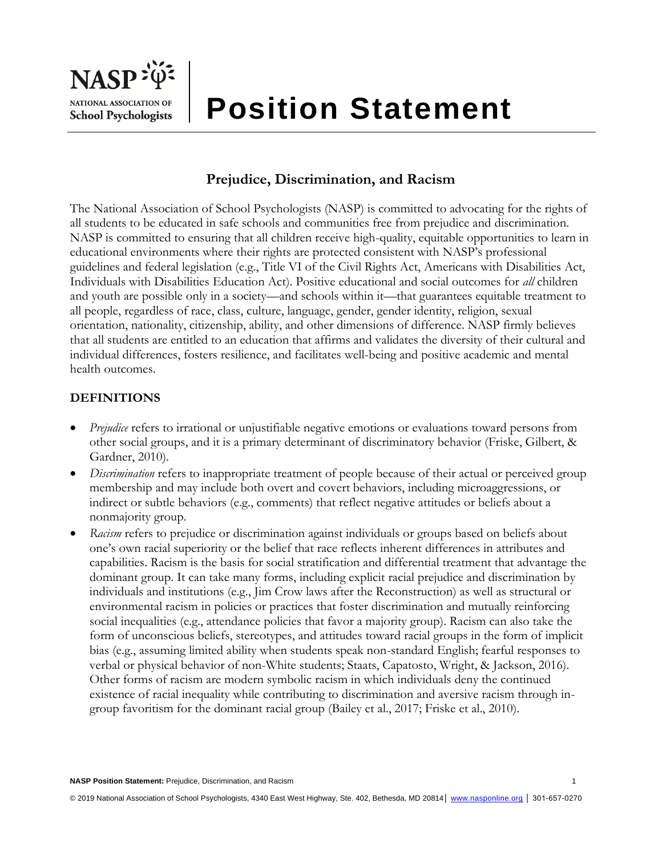

# **Position Statement**

## **Prejudice, Discrimination, and Racism**

The National Association of School Psychologists (NASP) is committed to advocating for the rights of all students to be educated in safe schools and communities free from prejudice and discrimination. NASP is committed to ensuring that all children receive high-quality, equitable opportunities to learn in educational environments where their rights are protected consistent with NASP's professional guidelines and federal legislation (e.g., Title VI of the Civil Rights Act, Americans with Disabilities Act, Individuals with Disabilities Education Act). Positive educational and social outcomes for *all* children and youth are possible only in a society—and schools within it—that guarantees equitable treatment to all people, regardless of race, class, culture, language, gender, gender identity, religion, sexual orientation, nationality, citizenship, ability, and other dimensions of difference. NASP firmly believes that all students are entitled to an education that affirms and validates the diversity of their cultural and individual differences, fosters resilience, and facilitates well-being and positive academic and mental health outcomes.

### **DEFINITIONS**

- *Prejudice* refers to irrational or unjustifiable negative emotions or evaluations toward persons from other social groups, and it is a primary determinant of discriminatory behavior (Friske, Gilbert, & Gardner, 2010).
- *Discrimination* refers to inappropriate treatment of people because of their actual or perceived group membership and may include both overt and covert behaviors, including microaggressions, or indirect or subtle behaviors (e.g., comments) that reflect negative attitudes or beliefs about a nonmajority group.
- *Racism* refers to prejudice or discrimination against individuals or groups based on beliefs about one's own racial superiority or the belief that race reflects inherent differences in attributes and capabilities. Racism is the basis for social stratification and differential treatment that advantage the dominant group. It can take many forms, including explicit racial prejudice and discrimination by individuals and institutions (e.g., Jim Crow laws after the Reconstruction) as well as structural or environmental racism in policies or practices that foster discrimination and mutually reinforcing social inequalities (e.g., attendance policies that favor a majority group). Racism can also take the form of unconscious beliefs, stereotypes, and attitudes toward racial groups in the form of implicit bias (e.g., assuming limited ability when students speak non-standard English; fearful responses to verbal or physical behavior of non-White students; Staats, Capatosto, Wright, & Jackson, 2016). Other forms of racism are modern symbolic racism in which individuals deny the continued existence of racial inequality while contributing to discrimination and aversive racism through ingroup favoritism for the dominant racial group (Bailey et al., 2017; Friske et al., 2010).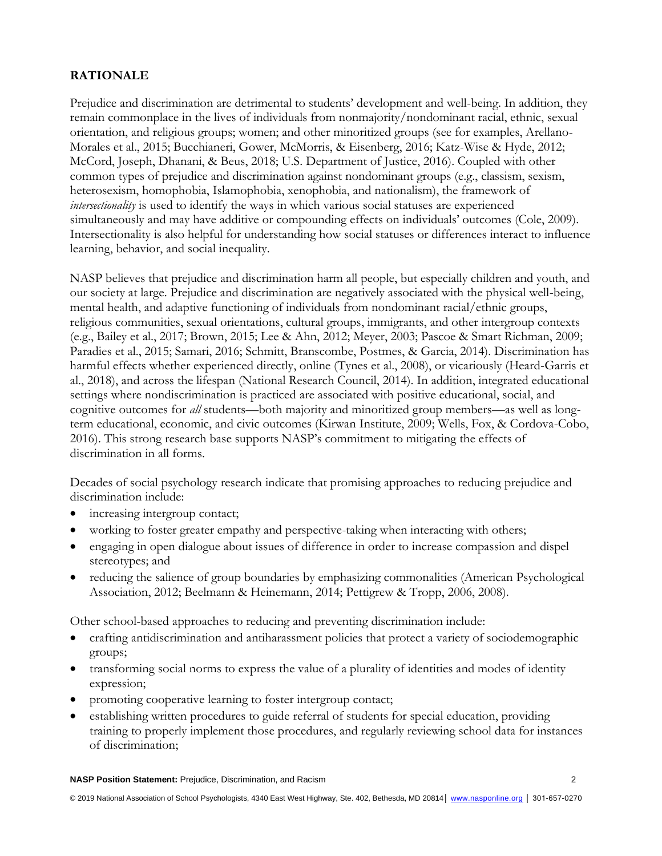## **RATIONALE**

Prejudice and discrimination are detrimental to students' development and well-being. In addition, they remain commonplace in the lives of individuals from nonmajority/nondominant racial, ethnic, sexual orientation, and religious groups; women; and other minoritized groups (see for examples, Arellano-Morales et al., 2015; Bucchianeri, Gower, McMorris, & Eisenberg, 2016; Katz-Wise & Hyde, 2012; McCord, Joseph, Dhanani, & Beus, 2018; U.S. Department of Justice, 2016). Coupled with other common types of prejudice and discrimination against nondominant groups (e.g., classism, sexism, heterosexism, homophobia, Islamophobia, xenophobia, and nationalism), the framework of *intersectionality* is used to identify the ways in which various social statuses are experienced simultaneously and may have additive or compounding effects on individuals' outcomes (Cole, 2009). Intersectionality is also helpful for understanding how social statuses or differences interact to influence learning, behavior, and social inequality.

NASP believes that prejudice and discrimination harm all people, but especially children and youth, and our society at large. Prejudice and discrimination are negatively associated with the physical well-being, mental health, and adaptive functioning of individuals from nondominant racial/ethnic groups, religious communities, sexual orientations, cultural groups, immigrants, and other intergroup contexts (e.g., Bailey et al., 2017; Brown, 2015; Lee & Ahn, 2012; Meyer, 2003; Pascoe & Smart Richman, 2009; Paradies et al., 2015; Samari, 2016; Schmitt, Branscombe, Postmes, & Garcia, 2014). Discrimination has harmful effects whether experienced directly, online (Tynes et al., 2008), or vicariously (Heard-Garris et al., 2018), and across the lifespan (National Research Council, 2014). In addition, integrated educational settings where nondiscrimination is practiced are associated with positive educational, social, and cognitive outcomes for *all* students—both majority and minoritized group members—as well as longterm educational, economic, and civic outcomes (Kirwan Institute, 2009; Wells, Fox, & Cordova-Cobo, 2016). This strong research base supports NASP's commitment to mitigating the effects of discrimination in all forms.

Decades of social psychology research indicate that promising approaches to reducing prejudice and discrimination include:

- increasing intergroup contact;
- working to foster greater empathy and perspective-taking when interacting with others;
- engaging in open dialogue about issues of difference in order to increase compassion and dispel stereotypes; and
- reducing the salience of group boundaries by emphasizing commonalities (American Psychological Association, 2012; Beelmann & Heinemann, 2014; Pettigrew & Tropp, 2006, 2008).

Other school-based approaches to reducing and preventing discrimination include:

- crafting antidiscrimination and antiharassment policies that protect a variety of sociodemographic groups;
- transforming social norms to express the value of a plurality of identities and modes of identity expression;
- promoting cooperative learning to foster intergroup contact;
- establishing written procedures to guide referral of students for special education, providing training to properly implement those procedures, and regularly reviewing school data for instances of discrimination;

**NASP Position Statement:** Prejudice, Discrimination, and Racism 2

© 2019 National Association of School Psychologists, 4340 East West Highway, Ste. 402, Bethesda, MD 20814│ [www.nasponline.org](http://www.nasponline.org/) │ 301-657-0270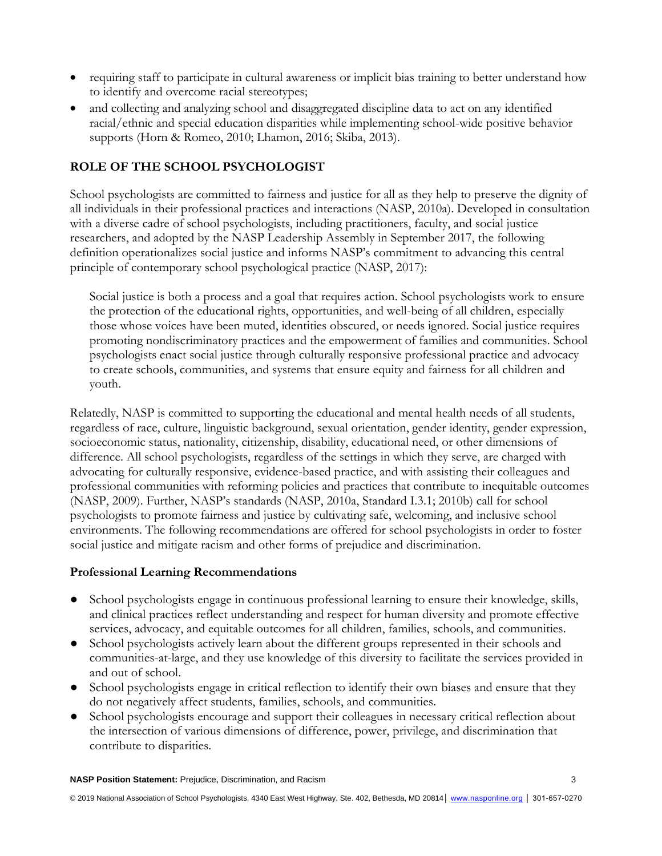- requiring staff to participate in cultural awareness or implicit bias training to better understand how to identify and overcome racial stereotypes;
- and collecting and analyzing school and disaggregated discipline data to act on any identified racial/ethnic and special education disparities while implementing school-wide positive behavior supports (Horn & Romeo, 2010; Lhamon, 2016; Skiba, 2013).

## **ROLE OF THE SCHOOL PSYCHOLOGIST**

School psychologists are committed to fairness and justice for all as they help to preserve the dignity of all individuals in their professional practices and interactions (NASP, 2010a). Developed in consultation with a diverse cadre of school psychologists, including practitioners, faculty, and social justice researchers, and adopted by the NASP Leadership Assembly in September 2017, the following definition operationalizes social justice and informs NASP's commitment to advancing this central principle of contemporary school psychological practice (NASP, 2017):

Social justice is both a process and a goal that requires action. School psychologists work to ensure the protection of the educational rights, opportunities, and well-being of all children, especially those whose voices have been muted, identities obscured, or needs ignored. Social justice requires promoting nondiscriminatory practices and the empowerment of families and communities. School psychologists enact social justice through culturally responsive professional practice and advocacy to create schools, communities, and systems that ensure equity and fairness for all children and youth.

Relatedly, NASP is committed to supporting the educational and mental health needs of all students, regardless of race, culture, linguistic background, sexual orientation, gender identity, gender expression, socioeconomic status, nationality, citizenship, disability, educational need, or other dimensions of difference. All school psychologists, regardless of the settings in which they serve, are charged with advocating for culturally responsive, evidence-based practice, and with assisting their colleagues and professional communities with reforming policies and practices that contribute to inequitable outcomes (NASP, 2009). Further, NASP's standards (NASP, 2010a, Standard I.3.1; 2010b) call for school psychologists to promote fairness and justice by cultivating safe, welcoming, and inclusive school environments. The following recommendations are offered for school psychologists in order to foster social justice and mitigate racism and other forms of prejudice and discrimination.

## **Professional Learning Recommendations**

- School psychologists engage in continuous professional learning to ensure their knowledge, skills, and clinical practices reflect understanding and respect for human diversity and promote effective services, advocacy, and equitable outcomes for all children, families, schools, and communities.
- School psychologists actively learn about the different groups represented in their schools and communities-at-large, and they use knowledge of this diversity to facilitate the services provided in and out of school.
- School psychologists engage in critical reflection to identify their own biases and ensure that they do not negatively affect students, families, schools, and communities.
- School psychologists encourage and support their colleagues in necessary critical reflection about the intersection of various dimensions of difference, power, privilege, and discrimination that contribute to disparities.

**NASP Position Statement:** Prejudice, Discrimination, and Racism 3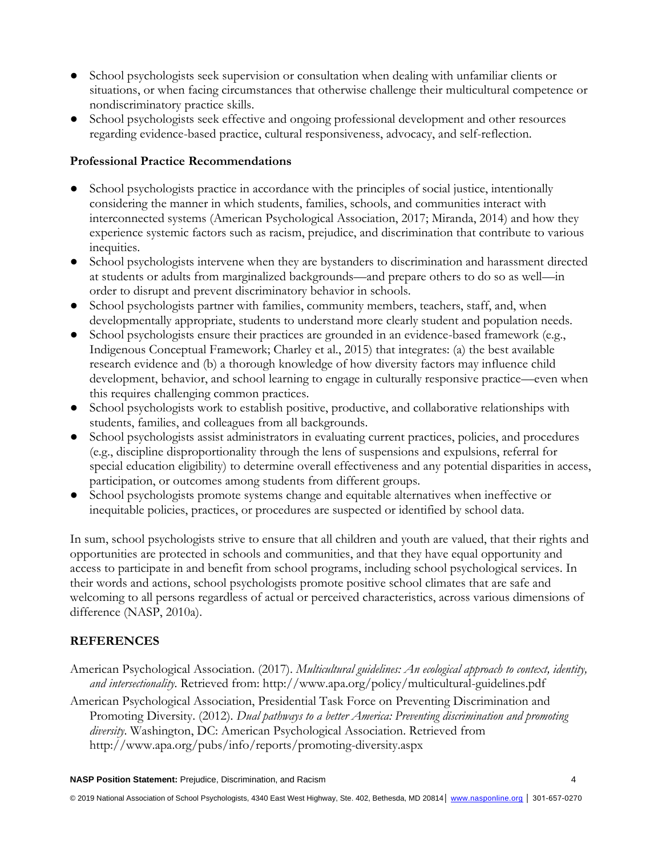- School psychologists seek supervision or consultation when dealing with unfamiliar clients or situations, or when facing circumstances that otherwise challenge their multicultural competence or nondiscriminatory practice skills.
- School psychologists seek effective and ongoing professional development and other resources regarding evidence-based practice, cultural responsiveness, advocacy, and self-reflection.

#### **Professional Practice Recommendations**

- School psychologists practice in accordance with the principles of social justice, intentionally considering the manner in which students, families, schools, and communities interact with interconnected systems (American Psychological Association, 2017; Miranda, 2014) and how they experience systemic factors such as racism, prejudice, and discrimination that contribute to various inequities.
- School psychologists intervene when they are bystanders to discrimination and harassment directed at students or adults from marginalized backgrounds—and prepare others to do so as well—in order to disrupt and prevent discriminatory behavior in schools.
- School psychologists partner with families, community members, teachers, staff, and, when developmentally appropriate, students to understand more clearly student and population needs.
- School psychologists ensure their practices are grounded in an evidence-based framework (e.g., Indigenous Conceptual Framework; Charley et al., 2015) that integrates: (a) the best available research evidence and (b) a thorough knowledge of how diversity factors may influence child development, behavior, and school learning to engage in culturally responsive practice—even when this requires challenging common practices.
- School psychologists work to establish positive, productive, and collaborative relationships with students, families, and colleagues from all backgrounds.
- School psychologists assist administrators in evaluating current practices, policies, and procedures (e.g., discipline disproportionality through the lens of suspensions and expulsions, referral for special education eligibility) to determine overall effectiveness and any potential disparities in access, participation, or outcomes among students from different groups.
- School psychologists promote systems change and equitable alternatives when ineffective or inequitable policies, practices, or procedures are suspected or identified by school data.

In sum, school psychologists strive to ensure that all children and youth are valued, that their rights and opportunities are protected in schools and communities, and that they have equal opportunity and access to participate in and benefit from school programs, including school psychological services. In their words and actions, school psychologists promote positive school climates that are safe and welcoming to all persons regardless of actual or perceived characteristics, across various dimensions of difference (NASP, 2010a).

#### **REFERENCES**

- American Psychological Association. (2017). *Multicultural guidelines: An ecological approach to context, identity, and intersectionality*. Retrieved from: http://www.apa.org/policy/multicultural-guidelines.pdf
- American Psychological Association, Presidential Task Force on Preventing Discrimination and Promoting Diversity. (2012). *Dual pathways to a better America: Preventing discrimination and promoting diversity*. Washington, DC: American Psychological Association. Retrieved from http://www.apa.org/pubs/info/reports/promoting-diversity.aspx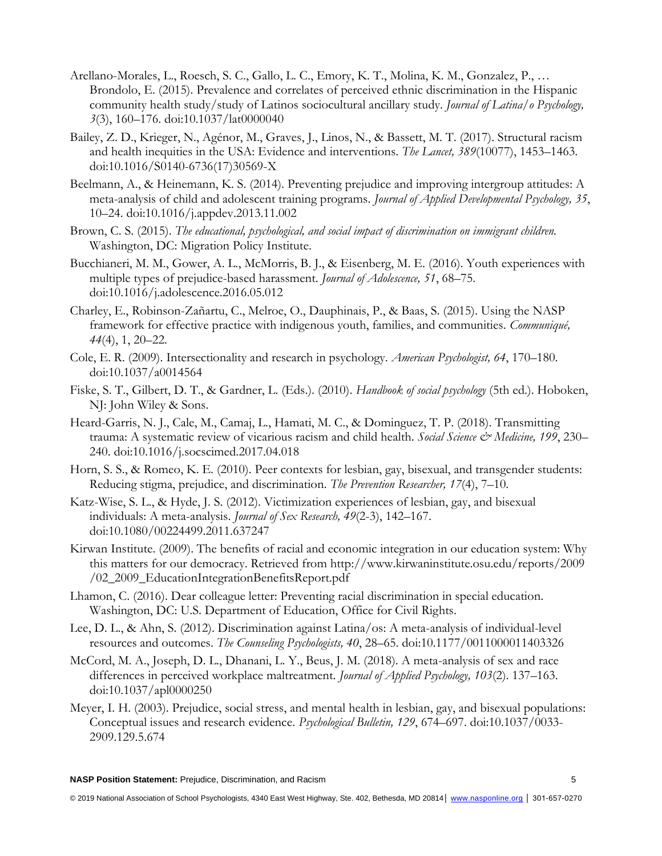- Arellano-Morales, L., Roesch, S. C., Gallo, L. C., Emory, K. T., Molina, K. M., Gonzalez, P., … Brondolo, E. (2015). Prevalence and correlates of perceived ethnic discrimination in the Hispanic community health study/study of Latinos sociocultural ancillary study. *Journal of Latina/o Psychology, 3*(3), 160–176. doi:10.1037/lat0000040
- Bailey, Z. D., Krieger, N., Agénor, M., Graves, J., Linos, N., & Bassett, M. T. (2017). Structural racism and health inequities in the USA: Evidence and interventions. *The Lancet, 389*(10077), 1453–1463. doi:10.1016/S0140-6736(17)30569-X
- Beelmann, A., & Heinemann, K. S. (2014). Preventing prejudice and improving intergroup attitudes: A meta-analysis of child and adolescent training programs. *Journal of Applied Developmental Psychology, 35*, 10–24. doi:10.1016/j.appdev.2013.11.002
- Brown, C. S. (2015). *The educational, psychological, and social impact of discrimination on immigrant children.* Washington, DC: Migration Policy Institute.
- Bucchianeri, M. M., Gower, A. L., McMorris, B. J., & Eisenberg, M. E. (2016). Youth experiences with multiple types of prejudice-based harassment. *Journal of Adolescence, 51*, 68–75. doi:10.1016/j.adolescence.2016.05.012
- Charley, E., Robinson-Zañartu, C., Melroe, O., Dauphinais, P., & Baas, S. (2015). Using the NASP framework for effective practice with indigenous youth, families, and communities. *Communiqué, 44*(4), 1, 20–22.
- Cole, E. R. (2009). Intersectionality and research in psychology. *American Psychologist, 64*, 170–180. doi:10.1037/a0014564
- Fiske, S. T., Gilbert, D. T., & Gardner, L. (Eds.). (2010). *Handbook of social psychology* (5th ed.). Hoboken, NJ: John Wiley & Sons.
- Heard-Garris, N. J., Cale, M., Camaj, L., Hamati, M. C., & Dominguez, T. P. (2018). Transmitting trauma: A systematic review of vicarious racism and child health. *Social Science & Medicine, 199*, 230– 240. doi:10.1016/j.socscimed.2017.04.018
- Horn, S. S., & Romeo, K. E. (2010). Peer contexts for lesbian, gay, bisexual, and transgender students: Reducing stigma, prejudice, and discrimination. *The Prevention Researcher, 17*(4), 7–10.
- Katz-Wise, S. L., & Hyde, J. S. (2012). Victimization experiences of lesbian, gay, and bisexual individuals: A meta-analysis. *Journal of Sex Research, 49*(2-3), 142–167. doi:10.1080/00224499.2011.637247
- Kirwan Institute. (2009). The benefits of racial and economic integration in our education system: Why this matters for our democracy. Retrieved from http://www.kirwaninstitute.osu.edu/reports/2009 /02\_2009\_EducationIntegrationBenefitsReport.pdf
- Lhamon, C. (2016). Dear colleague letter: Preventing racial discrimination in special education. Washington, DC: U.S. Department of Education, Office for Civil Rights.
- Lee, D. L., & Ahn, S. (2012). Discrimination against Latina/os: A meta-analysis of individual-level resources and outcomes. *The Counseling Psychologists, 40*, 28–65. doi:10.1177/0011000011403326
- McCord, M. A., Joseph, D. L., Dhanani, L. Y., Beus, J. M. (2018). A meta-analysis of sex and race differences in perceived workplace maltreatment. *Journal of Applied Psychology, 103*(2). 137–163. doi:10.1037/apl0000250
- Meyer, I. H. (2003). Prejudice, social stress, and mental health in lesbian, gay, and bisexual populations: Conceptual issues and research evidence. *Psychological Bulletin, 129*, 674–697. doi:10.1037/0033- 2909.129.5.674

**NASP Position Statement:** Prejudice, Discrimination, and Racism 5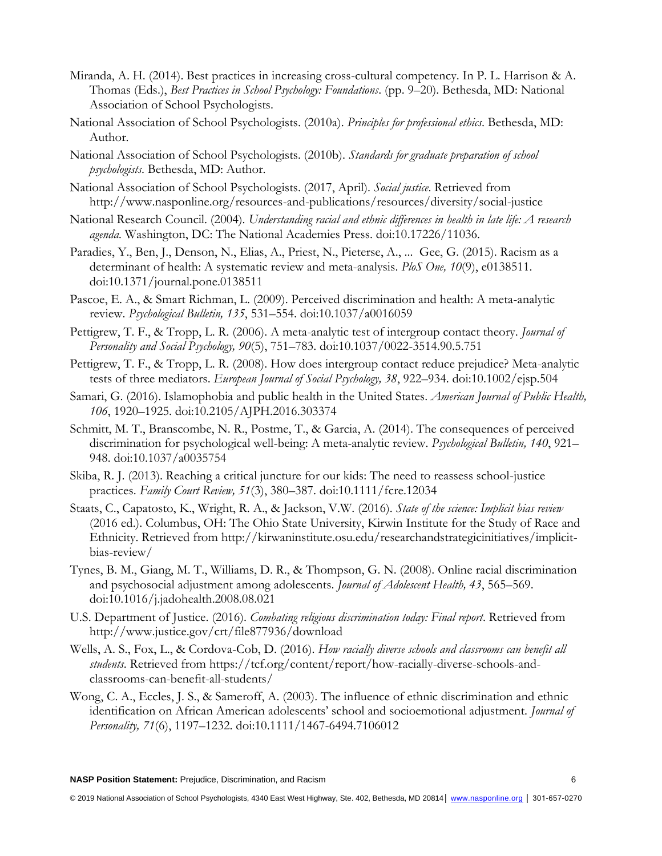- Miranda, A. H. (2014). Best practices in increasing cross-cultural competency. In P. L. Harrison & A. Thomas (Eds.), *Best Practices in School Psychology: Foundations*. (pp. 9–20). Bethesda, MD: National Association of School Psychologists.
- National Association of School Psychologists. (2010a). *Principles for professional ethics*. Bethesda, MD: Author.
- National Association of School Psychologists. (2010b). *Standards for graduate preparation of school psychologists*. Bethesda, MD: Author.
- National Association of School Psychologists. (2017, April). *Social justice*. Retrieved from http://www.nasponline.org/resources-and-publications/resources/diversity/social-justice
- National Research Council. (2004). *Understanding racial and ethnic differences in health in late life: A research agenda.* Washington, DC: The National Academies Press. doi:10.17226/11036.
- Paradies, Y., Ben, J., Denson, N., Elias, A., Priest, N., Pieterse, A., ... Gee, G. (2015). Racism as a determinant of health: A systematic review and meta-analysis. *PloS One, 10*(9), e0138511. doi:10.1371/journal.pone.0138511
- Pascoe, E. A., & Smart Richman, L. (2009). Perceived discrimination and health: A meta-analytic review. *Psychological Bulletin, 135*, 531–554. doi:10.1037/a0016059
- Pettigrew, T. F., & Tropp, L. R. (2006). A meta-analytic test of intergroup contact theory. *Journal of Personality and Social Psychology, 90*(5), 751–783. doi:10.1037/0022-3514.90.5.751
- Pettigrew, T. F., & Tropp, L. R. (2008). How does intergroup contact reduce prejudice? Meta-analytic tests of three mediators. *European Journal of Social Psychology, 38*, 922–934. doi:10.1002/ejsp.504
- Samari, G. (2016). Islamophobia and public health in the United States. *American Journal of Public Health, 106*, 1920–1925. doi:10.2105/AJPH.2016.303374
- Schmitt, M. T., Branscombe, N. R., Postme, T., & Garcia, A. (2014). The consequences of perceived discrimination for psychological well-being: A meta-analytic review. *Psychological Bulletin, 140*, 921– 948. doi:10.1037/a0035754
- Skiba, R. J. (2013). Reaching a critical juncture for our kids: The need to reassess school-justice practices. *Family Court Review, 51*(3), 380–387. doi:10.1111/fcre.12034
- Staats, C., Capatosto, K., Wright, R. A., & Jackson, V.W. (2016). *State of the science: Implicit bias review* (2016 ed.). Columbus, OH: The Ohio State University, Kirwin Institute for the Study of Race and Ethnicity. Retrieved from http://kirwaninstitute.osu.edu/researchandstrategicinitiatives/implicitbias-review/
- Tynes, B. M., Giang, M. T., Williams, D. R., & Thompson, G. N. (2008). Online racial discrimination and psychosocial adjustment among adolescents. *Journal of Adolescent Health, 43*, 565–569. doi:10.1016/j.jadohealth.2008.08.021
- U.S. Department of Justice. (2016). *Combating religious discrimination today: Final report*. Retrieved from http://www.justice.gov/crt/file877936/download
- Wells, A. S., Fox, L., & Cordova-Cob, D. (2016). *How racially diverse schools and classrooms can benefit all students*. Retrieved from https://tcf.org/content/report/how-racially-diverse-schools-andclassrooms-can-benefit-all-students/
- Wong, C. A., Eccles, J. S., & Sameroff, A. (2003). The influence of ethnic discrimination and ethnic identification on African American adolescents' school and socioemotional adjustment. *Journal of Personality, 71*(6), 1197–1232. doi:10.1111/1467-6494.7106012